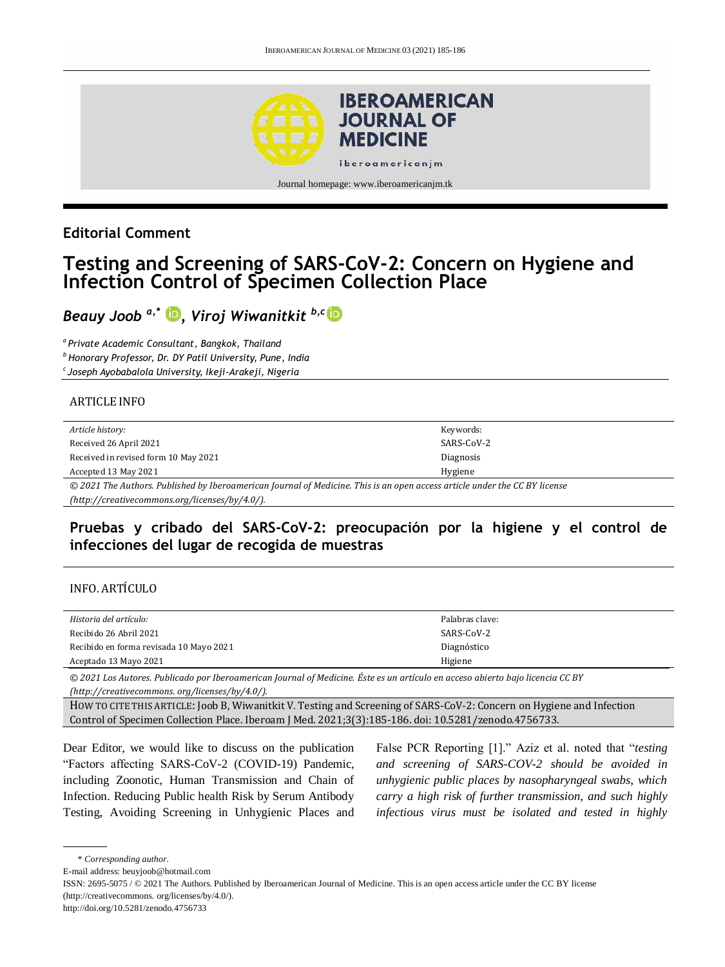

## **Editorial Comment**

# **Testing and Screening of SARS-CoV-2: Concern on Hygiene and Infection Control of Specimen Collection Place**

*Beauy Joob a,\* [,](https://orcid.org/0000-0002-5281-0369) Viroj Wiwanitkit b,c*

*a Private Academic Consultant, Bangkok, Thailand <sup>b</sup>Honorary Professor, Dr. DY Patil University, Pune, India <sup>c</sup>Joseph Ayobabalola University, Ikeji-Arakeji, Nigeria* 

#### ARTICLE INFO

| Article history:                                                                                                           | Keywords:  |  |
|----------------------------------------------------------------------------------------------------------------------------|------------|--|
| Received 26 April 2021                                                                                                     | SARS-CoV-2 |  |
| Received in revised form 10 May 2021                                                                                       | Diagnosis  |  |
| Accepted 13 May 2021                                                                                                       | Hygiene    |  |
| © 2021 The Authors, Published by Iberoamerican Journal of Medicine. This is an open access article under the CC RV license |            |  |

*© 2021 The Authors. Published by Iberoamerican Journal of Medicine. This is an open access article under the CC BY license [\(http://creativecommons.org/licenses/by/4.0/\)](http://creativecommons.org/licenses/by/4.0/).*

## **Pruebas y cribado del SARS-CoV-2: preocupación por la higiene y el control de infecciones del lugar de recogida de muestras**

#### INFO. ARTÍCULO

| Historia del artículo:                  | Palabras clave: |
|-----------------------------------------|-----------------|
| Recibido 26 Abril 2021                  | SARS-CoV-2      |
| Recibido en forma revisada 10 Mayo 2021 | Diagnóstico     |
| Aceptado 13 Mayo 2021                   | Higiene         |

*© 2021 Los Autores. Publicado por Iberoamerican Journal of Medicine. Éste es un artículo en acceso abierto bajo licencia CC BY (http:/[/creativecommons. org/licenses/by/4.0/\)](https://creativecommons.org/licenses/by/4.0/).*

HOW TO CITE THIS ARTICLE: Joob B, Wiwanitkit V. Testing and Screening of SARS-CoV-2: Concern on Hygiene and Infection Control of Specimen Collection Place. Iberoam J Med. 2021;3(3):185-186. doi[: 10.5281/zenodo.4756733.](http://doi.org/10.5281/zenodo.4756733)

Dear Editor, we would like to discuss on the publication "Factors affecting SARS-CoV-2 (COVID-19) Pandemic, including Zoonotic, Human Transmission and Chain of Infection. Reducing Public health Risk by Serum Antibody Testing, Avoiding Screening in Unhygienic Places and

False PCR Reporting [1]." Aziz et al. noted that "*testing and screening of SARS-COV-2 should be avoided in unhygienic public places by nasopharyngeal swabs, which carry a high risk of further transmission, and such highly infectious virus must be isolated and tested in highly* 

\* *Corresponding author.*

E-mail address: beuyjoob@hotmail.com

ISSN: 2695-5075 / © 2021 The Authors. Published by Iberoamerican Journal of Medicine. This is an open access article under the CC BY license (http://creativecommons. org/licenses/by/4.0/).